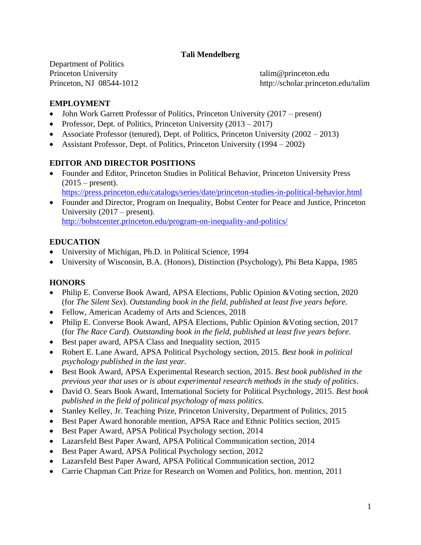### **Tali Mendelberg**

Department of Politics Princeton University talim@princeton.edu

Princeton, NJ 08544-1012 http://scholar.princeton.edu/talim

### **EMPLOYMENT**

- John Work Garrett Professor of Politics, Princeton University (2017 present)
- Professor, Dept. of Politics, Princeton University  $(2013 2017)$
- Associate Professor (tenured), Dept. of Politics, Princeton University (2002 2013)
- Assistant Professor, Dept. of Politics, Princeton University (1994 2002)

## **EDITOR AND DIRECTOR POSITIONS**

- Founder and Editor, Princeton Studies in Political Behavior, Princeton University Press  $(2015 - present).$ 
	- <https://press.princeton.edu/catalogs/series/date/princeton-studies-in-political-behavior.html>
- Founder and Director, Program on Inequality, Bobst Center for Peace and Justice, Princeton University (2017 – present). <http://bobstcenter.princeton.edu/program-on-inequality-and-politics/>

**EDUCATION**

- University of Michigan, Ph.D. in Political Science, 1994
- University of Wisconsin, B.A. (Honors), Distinction (Psychology), Phi Beta Kappa, 1985

### **HONORS**

- Philip E. Converse Book Award, APSA Elections, Public Opinion &Voting section, 2020 (for *The Silent Sex*). *Outstanding book in the field, published at least five years before.*
- Fellow, American Academy of Arts and Sciences, 2018
- Philip E. Converse Book Award, APSA Elections, Public Opinion & Voting section, 2017 (for *The Race Card*). *Outstanding book in the field, published at least five years before.*
- Best paper award, APSA Class and Inequality section, 2015
- Robert E. Lane Award, APSA Political Psychology section, 2015. *Best book in political psychology published in the last year.*
- Best Book Award, APSA Experimental Research section, 2015. *Best book published in the previous year that uses or is about experimental research methods in the study of politics.*
- David O. Sears Book Award, International Society for Political Psychology, 2015. *Best book published in the field of political psychology of mass politics.*
- Stanley Kelley, Jr. Teaching Prize, Princeton University, Department of Politics, 2015
- Best Paper Award honorable mention, APSA Race and Ethnic Politics section, 2015
- Best Paper Award, APSA Political Psychology section, 2014
- Lazarsfeld Best Paper Award, APSA Political Communication section, 2014
- Best Paper Award, APSA Political Psychology section, 2012
- Lazarsfeld Best Paper Award, APSA Political Communication section, 2012
- Carrie Chapman Catt Prize for Research on Women and Politics, hon. mention, 2011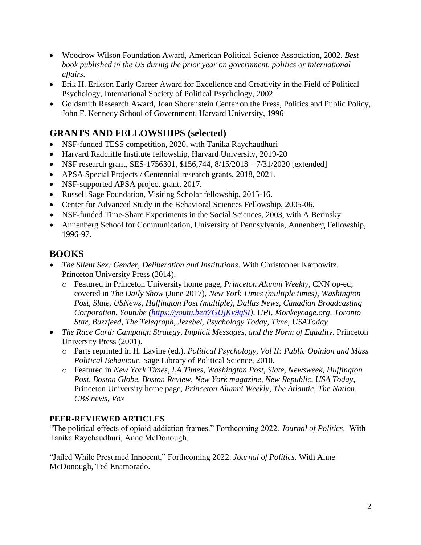- Woodrow Wilson Foundation Award, American Political Science Association, 2002. *Best book published in the US during the prior year on government, politics or international affairs.*
- Erik H. Erikson Early Career Award for Excellence and Creativity in the Field of Political Psychology, International Society of Political Psychology, 2002
- Goldsmith Research Award, Joan Shorenstein Center on the Press, Politics and Public Policy, John F. Kennedy School of Government, Harvard University, 1996

# **GRANTS AND FELLOWSHIPS (selected)**

- NSF-funded TESS competition, 2020, with Tanika Raychaudhuri
- Harvard Radcliffe Institute fellowship, Harvard University, 2019-20
- NSF research grant, SES-1756301, \$156,744,  $8/15/2018 7/31/2020$  [extended]
- APSA Special Projects / Centennial research grants, 2018, 2021.
- NSF-supported APSA project grant, 2017.
- Russell Sage Foundation, Visiting Scholar fellowship, 2015-16.
- Center for Advanced Study in the Behavioral Sciences Fellowship, 2005-06.
- NSF-funded Time-Share Experiments in the Social Sciences, 2003, with A Berinsky
- Annenberg School for Communication, University of Pennsylvania, Annenberg Fellowship, 1996-97.

## **BOOKS**

- *The Silent Sex: Gender, Deliberation and Institutions*. With Christopher Karpowitz. Princeton University Press (2014).
	- o Featured in Princeton University home page, *Princeton Alumni Weekly*, CNN op-ed; covered in *The Daily Show* (June 2017), *New York Times (multiple times), Washington Post, Slate, USNews, Huffington Post (multiple), Dallas News, Canadian Broadcasting Corporation, Youtube [\(https://youtu.be/t7GUjKv9qSI\)](https://youtu.be/t7GUjKv9qSI), UPI, Monkeycage.org, Toronto Star*, *Buzzfeed, The Telegraph, Jezebel, Psychology Today*, *Time, USAToday*
- *The Race Card: Campaign Strategy, Implicit Messages, and the Norm of Equality.* Princeton University Press (2001).
	- o Parts reprinted in H. Lavine (ed.), *Political Psychology, Vol II: Public Opinion and Mass Political Behaviour*. Sage Library of Political Science, 2010.
	- o Featured in *New York Times*, *LA Times*, *Washington Post*, *Slate, Newsweek, Huffington Post, Boston Globe, Boston Review, New York magazine, New Republic, USA Today*, Princeton University home page, *Princeton Alumni Weekly, The Atlantic, The Nation, CBS news, Vox*

## **PEER-REVIEWED ARTICLES**

"The political effects of opioid addiction frames." Forthcoming 2022. *Journal of Politics*. With Tanika Raychaudhuri, Anne McDonough.

"Jailed While Presumed Innocent." Forthcoming 2022. *Journal of Politics*. With Anne McDonough, Ted Enamorado.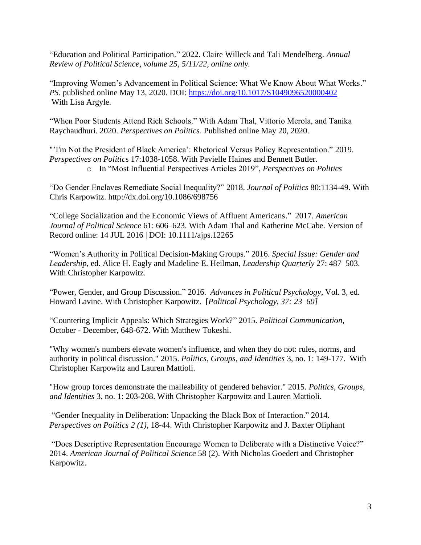"Education and Political Participation." 2022. Claire Willeck and Tali Mendelberg. *Annual Review of Political Science, volume 25, 5/11/22, online only.* 

"Improving Women's Advancement in Political Science: What We Know About What Works." *PS*. published online May 13, 2020. DOI: <https://doi.org/10.1017/S1049096520000402> With Lisa Argyle.

"When Poor Students Attend Rich Schools." With Adam Thal, Vittorio Merola, and Tanika Raychaudhuri. 2020. *Perspectives on Politics*. Published online May 20, 2020.

"'I'm Not the President of Black America': Rhetorical Versus Policy Representation." 2019. *Perspectives on Politic*s 17:1038-1058. With Pavielle Haines and Bennett Butler. o In "Most Influential Perspectives Articles 2019", *Perspectives on Politics*

"Do Gender Enclaves Remediate Social Inequality?" 2018. *Journal of Politics* 80:1134-49. With Chris Karpowitz. http://dx.doi.org/10.1086/698756

"College Socialization and the Economic Views of Affluent Americans." 2017. *American Journal of Political Science* 61: 606–623. With Adam Thal and Katherine McCabe. Version of Record online: 14 JUL 2016 | DOI: 10.1111/ajps.12265

"Women's Authority in Political Decision-Making Groups." 2016. *Special Issue: Gender and Leadership*, ed. Alice H. Eagly and Madeline E. Heilman, *Leadership Quarterly* 27: 487–503. With Christopher Karpowitz.

"Power, Gender, and Group Discussion." 2016. *Advances in Political Psychology*, Vol. 3, ed. Howard Lavine. With Christopher Karpowitz. [*Political Psychology, 37: 23–60]*

"Countering Implicit Appeals: Which Strategies Work?" 2015. *Political Communication*, October - December, 648-672. With Matthew Tokeshi.

"Why women's numbers elevate women's influence, and when they do not: rules, norms, and authority in political discussion." 2015. *Politics, Groups, and Identities* 3, no. 1: 149-177. With Christopher Karpowitz and Lauren Mattioli.

"How group forces demonstrate the malleability of gendered behavior." 2015. *Politics, Groups, and Identities* 3, no. 1: 203-208. With Christopher Karpowitz and Lauren Mattioli.

"Gender Inequality in Deliberation: Unpacking the Black Box of Interaction." 2014. *Perspectives on Politics 2 (1),* 18-44. With Christopher Karpowitz and J. Baxter Oliphant

"Does Descriptive Representation Encourage Women to Deliberate with a Distinctive Voice?" 2014. *American Journal of Political Science* 58 (2). With Nicholas Goedert and Christopher Karpowitz.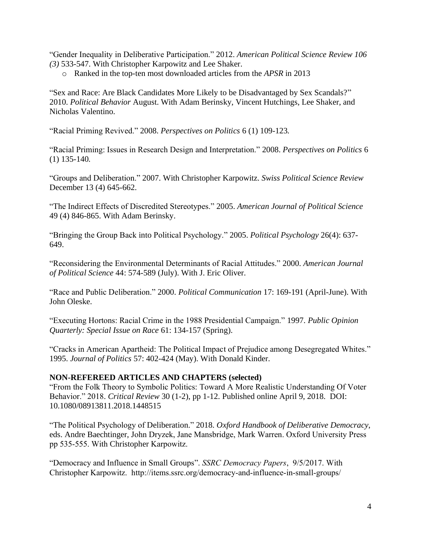"Gender Inequality in Deliberative Participation." 2012. *American Political Science Review 106 (3)* 533-547. With Christopher Karpowitz and Lee Shaker.

o Ranked in the top-ten most downloaded articles from the *APSR* in 2013

"Sex and Race: Are Black Candidates More Likely to be Disadvantaged by Sex Scandals?" 2010. *Political Behavior* August. With Adam Berinsky, Vincent Hutchings, Lee Shaker, and Nicholas Valentino.

"Racial Priming Revived." 2008. *Perspectives on Politics* 6 (1) 109-123*.*

"Racial Priming: Issues in Research Design and Interpretation." 2008. *Perspectives on Politics* 6 (1) 135-140*.*

"Groups and Deliberation." 2007. With Christopher Karpowitz. *Swiss Political Science Review*  December 13 (4) 645-662.

"The Indirect Effects of Discredited Stereotypes." 2005. *American Journal of Political Science* 49 (4) 846-865. With Adam Berinsky.

"Bringing the Group Back into Political Psychology." 2005. *Political Psychology* 26(4): 637- 649.

"Reconsidering the Environmental Determinants of Racial Attitudes." 2000. *American Journal of Political Science* 44: 574-589 (July). With J. Eric Oliver.

"Race and Public Deliberation." 2000. *Political Communication* 17: 169-191 (April-June). With John Oleske.

"Executing Hortons: Racial Crime in the 1988 Presidential Campaign." 1997. *Public Opinion Quarterly: Special Issue on Race* 61: 134-157 (Spring).

"Cracks in American Apartheid: The Political Impact of Prejudice among Desegregated Whites." 1995. *Journal of Politics* 57: 402-424 (May). With Donald Kinder.

### **NON-REFEREED ARTICLES AND CHAPTERS (selected)**

"From the Folk Theory to Symbolic Politics: Toward A More Realistic Understanding Of Voter Behavior." 2018. *Critical Review* 30 (1-2), pp 1-12. Published online April 9, 2018. DOI: 10.1080/08913811.2018.1448515

"The Political Psychology of Deliberation." 2018. *Oxford Handbook of Deliberative Democracy*, eds. Andre Baechtinger, John Dryzek, Jane Mansbridge, Mark Warren. Oxford University Press pp 535-555. With Christopher Karpowitz.

"Democracy and Influence in Small Groups". *SSRC Democracy Papers*, 9/5/2017. With Christopher Karpowitz. http://items.ssrc.org/democracy-and-influence-in-small-groups/